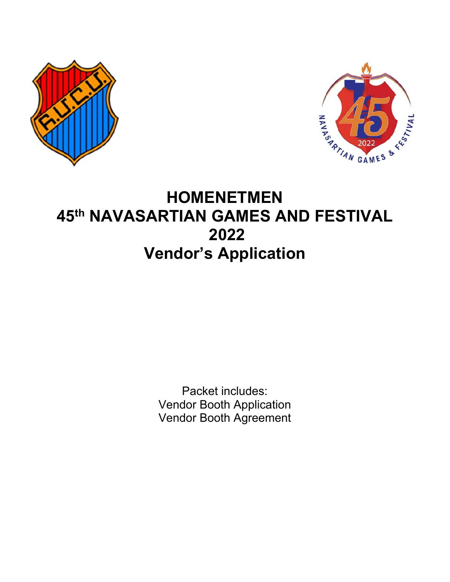



# **HOMENETMEN 45th NAVASARTIAN GAMES AND FESTIVAL 2022 Vendor's Application**

Packet includes: Vendor Booth Application Vendor Booth Agreement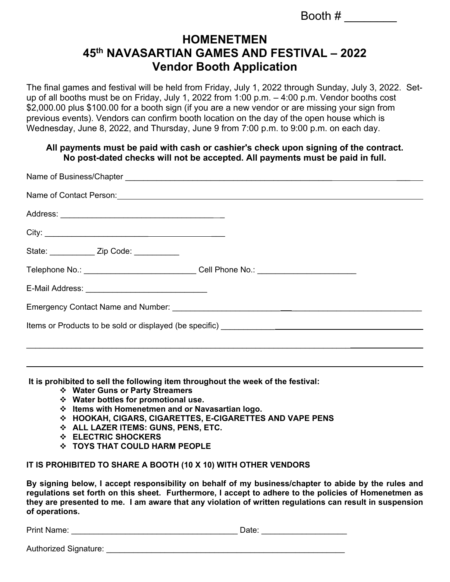Booth  $\#$ 

### **HOMENETMEN 45th NAVASARTIAN GAMES AND FESTIVAL – 2022 Vendor Booth Application**

The final games and festival will be held from Friday, July 1, 2022 through Sunday, July 3, 2022. Setup of all booths must be on Friday, July 1, 2022 from 1:00 p.m. – 4:00 p.m. Vendor booths cost \$2,000.00 plus \$100.00 for a booth sign (if you are a new vendor or are missing your sign from previous events). Vendors can confirm booth location on the day of the open house which is Wednesday, June 8, 2022, and Thursday, June 9 from 7:00 p.m. to 9:00 p.m. on each day.

#### **All payments must be paid with cash or cashier's check upon signing of the contract. No post-dated checks will not be accepted. All payments must be paid in full.**

| State: ______________ Zip Code: ___________                                      |  |
|----------------------------------------------------------------------------------|--|
| Telephone No.: _______________________________Cell Phone No.: __________________ |  |
|                                                                                  |  |
|                                                                                  |  |
|                                                                                  |  |
|                                                                                  |  |
|                                                                                  |  |

**It is prohibited to sell the following item throughout the week of the festival:** 

- **Water Guns or Party Streamers**
- **Water bottles for promotional use.**
- **Items with Homenetmen and or Navasartian logo.**
- **HOOKAH, CIGARS, CIGARETTES, E-CIGARETTES AND VAPE PENS**
- **ALL LAZER ITEMS: GUNS, PENS, ETC.**
- **ELECTRIC SHOCKERS**
- **TOYS THAT COULD HARM PEOPLE**

#### **IT IS PROHIBITED TO SHARE A BOOTH (10 X 10) WITH OTHER VENDORS**

**By signing below, I accept responsibility on behalf of my business/chapter to abide by the rules and regulations set forth on this sheet. Furthermore, I accept to adhere to the policies of Homenetmen as they are presented to me. I am aware that any violation of written regulations can result in suspension of operations.** 

Print Name: \_\_\_\_\_\_\_\_\_\_\_\_\_\_\_\_\_\_\_\_\_\_\_\_\_\_\_\_\_\_\_\_\_\_\_\_\_ Date: \_\_\_\_\_\_\_\_\_\_\_\_\_\_\_\_\_\_\_

Authorized Signature: **Authorized Signature**:

 $\overline{a}$